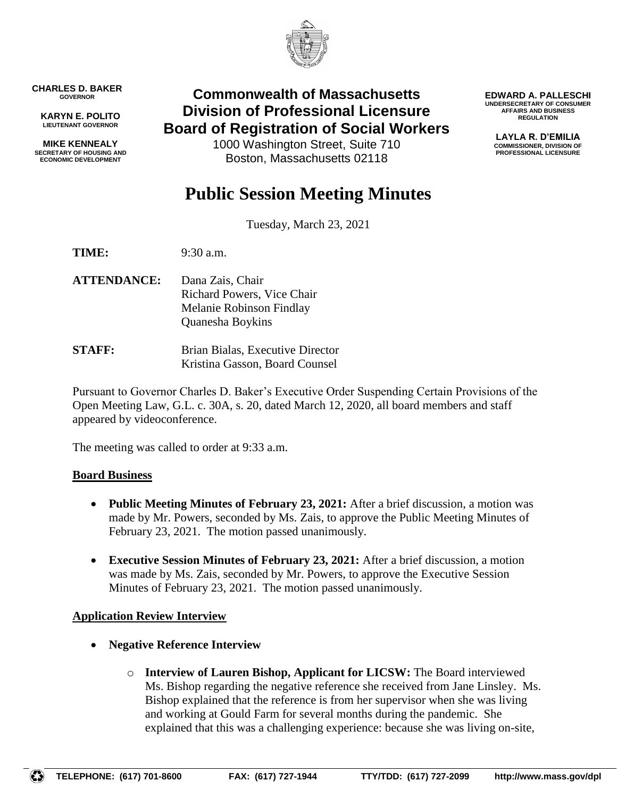

**CHARLES D. BAKER GOVERNOR**

**KARYN E. POLITO LIEUTENANT GOVERNOR**

**MIKE KENNEALY SECRETARY OF HOUSING AND ECONOMIC DEVELOPMENT**

# **Commonwealth of Massachusetts Division of Professional Licensure Board of Registration of Social Workers**

1000 Washington Street, Suite 710 Boston, Massachusetts 02118

**EDWARD A. PALLESCHI UNDERSECRETARY OF CONSUMER AFFAIRS AND BUSINESS REGULATION**

> **LAYLA R. D'EMILIA COMMISSIONER, DIVISION OF PROFESSIONAL LICENSURE**

# **Public Session Meeting Minutes**

Tuesday, March 23, 2021

**TIME:** 9:30 a.m.

**ATTENDANCE:** Dana Zais, Chair Richard Powers, Vice Chair Melanie Robinson Findlay Quanesha Boykins

**STAFF:** Brian Bialas, Executive Director Kristina Gasson, Board Counsel

Pursuant to Governor Charles D. Baker's Executive Order Suspending Certain Provisions of the Open Meeting Law, G.L. c. 30A, s. 20, dated March 12, 2020, all board members and staff appeared by videoconference.

The meeting was called to order at 9:33 a.m.

# **Board Business**

- **Public Meeting Minutes of February 23, 2021:** After a brief discussion, a motion was made by Mr. Powers, seconded by Ms. Zais, to approve the Public Meeting Minutes of February 23, 2021. The motion passed unanimously.
- **Executive Session Minutes of February 23, 2021:** After a brief discussion, a motion was made by Ms. Zais, seconded by Mr. Powers, to approve the Executive Session Minutes of February 23, 2021. The motion passed unanimously.

# **Application Review Interview**

- **Negative Reference Interview**
	- o **Interview of Lauren Bishop, Applicant for LICSW:** The Board interviewed Ms. Bishop regarding the negative reference she received from Jane Linsley. Ms. Bishop explained that the reference is from her supervisor when she was living and working at Gould Farm for several months during the pandemic. She explained that this was a challenging experience: because she was living on-site,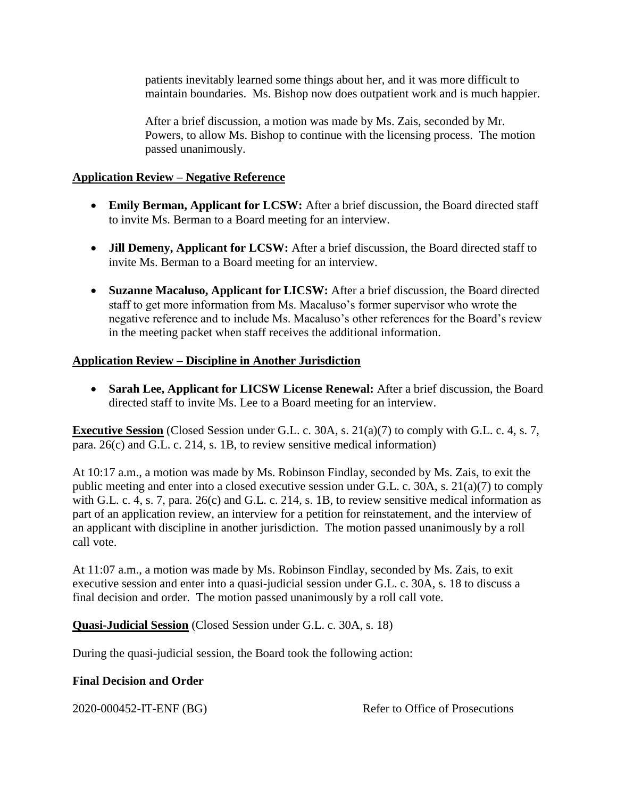patients inevitably learned some things about her, and it was more difficult to maintain boundaries. Ms. Bishop now does outpatient work and is much happier.

After a brief discussion, a motion was made by Ms. Zais, seconded by Mr. Powers, to allow Ms. Bishop to continue with the licensing process. The motion passed unanimously.

### **Application Review – Negative Reference**

- **Emily Berman, Applicant for LCSW:** After a brief discussion, the Board directed staff to invite Ms. Berman to a Board meeting for an interview.
- **Jill Demeny, Applicant for LCSW:** After a brief discussion, the Board directed staff to invite Ms. Berman to a Board meeting for an interview.
- **Suzanne Macaluso, Applicant for LICSW:** After a brief discussion, the Board directed staff to get more information from Ms. Macaluso's former supervisor who wrote the negative reference and to include Ms. Macaluso's other references for the Board's review in the meeting packet when staff receives the additional information.

# **Application Review – Discipline in Another Jurisdiction**

 **Sarah Lee, Applicant for LICSW License Renewal:** After a brief discussion, the Board directed staff to invite Ms. Lee to a Board meeting for an interview.

**Executive Session** (Closed Session under G.L. c. 30A, s. 21(a)(7) to comply with G.L. c. 4, s. 7, para. 26(c) and G.L. c. 214, s. 1B, to review sensitive medical information)

At 10:17 a.m., a motion was made by Ms. Robinson Findlay, seconded by Ms. Zais, to exit the public meeting and enter into a closed executive session under G.L. c. 30A, s. 21(a)(7) to comply with G.L. c. 4, s. 7, para. 26(c) and G.L. c. 214, s. 1B, to review sensitive medical information as part of an application review, an interview for a petition for reinstatement, and the interview of an applicant with discipline in another jurisdiction. The motion passed unanimously by a roll call vote.

At 11:07 a.m., a motion was made by Ms. Robinson Findlay, seconded by Ms. Zais, to exit executive session and enter into a quasi-judicial session under G.L. c. 30A, s. 18 to discuss a final decision and order. The motion passed unanimously by a roll call vote.

**Quasi-Judicial Session** (Closed Session under G.L. c. 30A, s. 18)

During the quasi-judicial session, the Board took the following action:

#### **Final Decision and Order**

2020-000452-IT-ENF (BG) Refer to Office of Prosecutions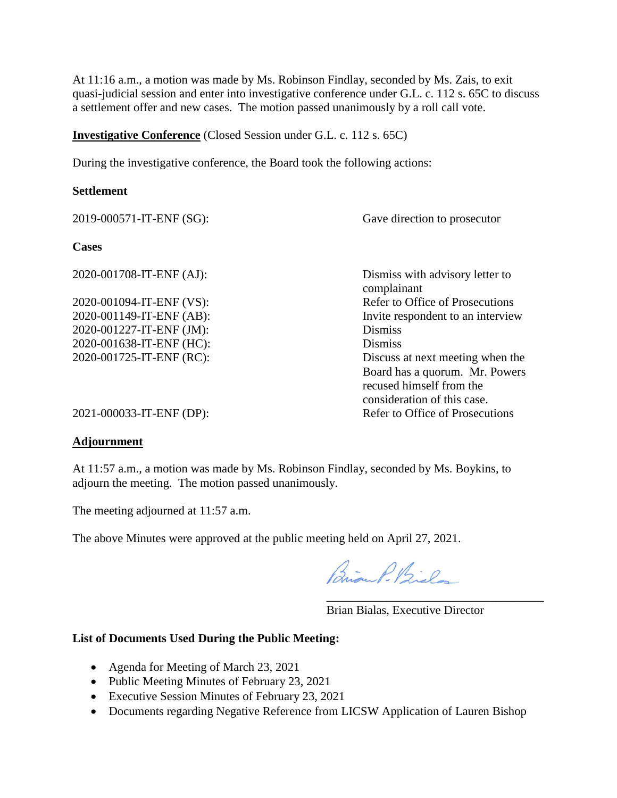At 11:16 a.m., a motion was made by Ms. Robinson Findlay, seconded by Ms. Zais, to exit quasi-judicial session and enter into investigative conference under G.L. c. 112 s. 65C to discuss a settlement offer and new cases. The motion passed unanimously by a roll call vote.

#### **Investigative Conference** (Closed Session under G.L. c. 112 s. 65C)

During the investigative conference, the Board took the following actions:

#### **Settlement**

| 2019-000571-IT-ENF (SG): | Gave direction to prosecutor                                                              |
|--------------------------|-------------------------------------------------------------------------------------------|
| <b>Cases</b>             |                                                                                           |
| 2020-001708-IT-ENF (AJ): | Dismiss with advisory letter to<br>complainant                                            |
| 2020-001094-IT-ENF (VS): | Refer to Office of Prosecutions                                                           |
| 2020-001149-IT-ENF (AB): | Invite respondent to an interview                                                         |
| 2020-001227-IT-ENF (JM): | <b>Dismiss</b>                                                                            |
| 2020-001638-IT-ENF (HC): | <b>Dismiss</b>                                                                            |
| 2020-001725-IT-ENF (RC): | Discuss at next meeting when the                                                          |
|                          | Board has a quorum. Mr. Powers<br>recused himself from the<br>consideration of this case. |
| 2021-000033-IT-ENF (DP): | Refer to Office of Prosecutions                                                           |

#### **Adjournment**

At 11:57 a.m., a motion was made by Ms. Robinson Findlay, seconded by Ms. Boykins, to adjourn the meeting. The motion passed unanimously.

The meeting adjourned at 11:57 a.m.

The above Minutes were approved at the public meeting held on April 27, 2021.

Brian P. Bielo

Brian Bialas, Executive Director

\_\_\_\_\_\_\_\_\_\_\_\_\_\_\_\_\_\_\_\_\_\_\_\_\_\_\_\_\_\_\_\_\_\_\_\_

#### **List of Documents Used During the Public Meeting:**

- Agenda for Meeting of March 23, 2021
- Public Meeting Minutes of February 23, 2021
- Executive Session Minutes of February 23, 2021
- Documents regarding Negative Reference from LICSW Application of Lauren Bishop